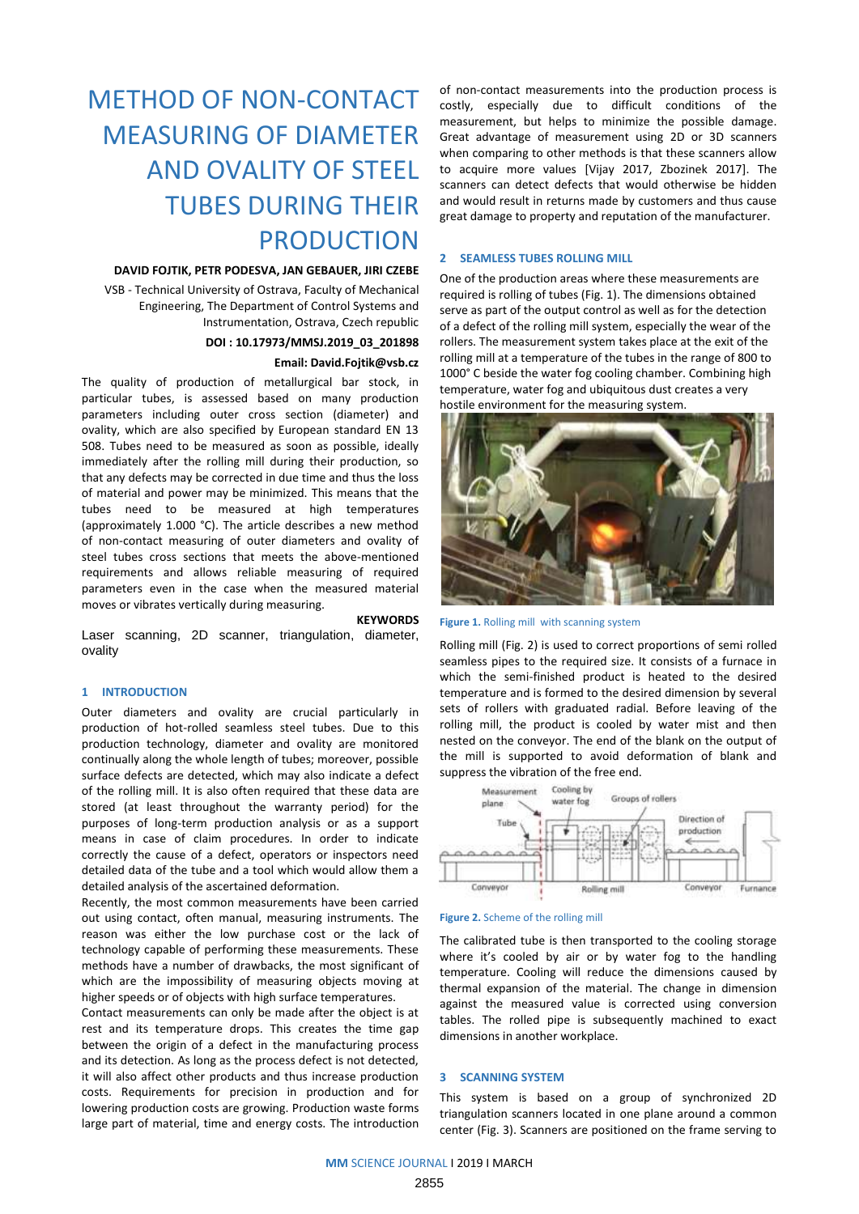# METHOD OF NON-CONTACT MEASURING OF DIAMETER AND OVALITY OF STEEL TUBES DURING THEIR PRODUCTION

#### **DAVID FOJTIK, PETR PODESVA, JAN GEBAUER, JIRI CZEBE**

VSB - Technical University of Ostrava, Faculty of Mechanical Engineering, The Department of Control Systems and Instrumentation, Ostrava, Czech republic

# **DOI : 10.17973/MMSJ.2019\_03\_201898**

# **Email: David.Fojtik@vsb.cz**

The quality of production of metallurgical bar stock, in particular tubes, is assessed based on many production parameters including outer cross section (diameter) and ovality, which are also specified by European standard EN 13 508. Tubes need to be measured as soon as possible, ideally immediately after the rolling mill during their production, so that any defects may be corrected in due time and thus the loss of material and power may be minimized. This means that the tubes need to be measured at high temperatures (approximately 1.000 °C). The article describes a new method of non-contact measuring of outer diameters and ovality of steel tubes cross sections that meets the above-mentioned requirements and allows reliable measuring of required parameters even in the case when the measured material moves or vibrates vertically during measuring.

#### **KEYWORDS**

Laser scanning, 2D scanner, triangulation, diameter, ovality

# **1 INTRODUCTION**

Outer diameters and ovality are crucial particularly in production of hot-rolled seamless steel tubes. Due to this production technology, diameter and ovality are monitored continually along the whole length of tubes; moreover, possible surface defects are detected, which may also indicate a defect of the rolling mill. It is also often required that these data are stored (at least throughout the warranty period) for the purposes of long-term production analysis or as a support means in case of claim procedures. In order to indicate correctly the cause of a defect, operators or inspectors need detailed data of the tube and a tool which would allow them a detailed analysis of the ascertained deformation.

Recently, the most common measurements have been carried out using contact, often manual, measuring instruments. The reason was either the low purchase cost or the lack of technology capable of performing these measurements. These methods have a number of drawbacks, the most significant of which are the impossibility of measuring objects moving at higher speeds or of objects with high surface temperatures.

Contact measurements can only be made after the object is at rest and its temperature drops. This creates the time gap between the origin of a defect in the manufacturing process and its detection. As long as the process defect is not detected, it will also affect other products and thus increase production costs. Requirements for precision in production and for lowering production costs are growing. Production waste forms large part of material, time and energy costs. The introduction

of non-contact measurements into the production process is costly, especially due to difficult conditions of the measurement, but helps to minimize the possible damage. Great advantage of measurement using 2D or 3D scanners when comparing to other methods is that these scanners allow to acquire more values [Vijay 2017, Zbozinek 2017]. The scanners can detect defects that would otherwise be hidden and would result in returns made by customers and thus cause great damage to property and reputation of the manufacturer.

## **2 SEAMLESS TUBES ROLLING MILL**

One of the production areas where these measurements are required is rolling of tubes (Fig. 1). The dimensions obtained serve as part of the output control as well as for the detection of a defect of the rolling mill system, especially the wear of the rollers. The measurement system takes place at the exit of the rolling mill at a temperature of the tubes in the range of 800 to 1000° C beside the water fog cooling chamber. Combining high temperature, water fog and ubiquitous dust creates a very hostile environment for the measuring system.





Rolling mill (Fig. 2) is used to correct proportions of semi rolled seamless pipes to the required size. It consists of a furnace in which the semi-finished product is heated to the desired temperature and is formed to the desired dimension by several sets of rollers with graduated radial. Before leaving of the rolling mill, the product is cooled by water mist and then nested on the conveyor. The end of the blank on the output of the mill is supported to avoid deformation of blank and suppress the vibration of the free end.



#### **Figure 2.** Scheme of the rolling mill

The calibrated tube is then transported to the cooling storage where it's cooled by air or by water fog to the handling temperature. Cooling will reduce the dimensions caused by thermal expansion of the material. The change in dimension against the measured value is corrected using conversion tables. The rolled pipe is subsequently machined to exact dimensions in another workplace.

# **3 SCANNING SYSTEM**

This system is based on a group of synchronized 2D triangulation scanners located in one plane around a common center (Fig. 3). Scanners are positioned on the frame serving to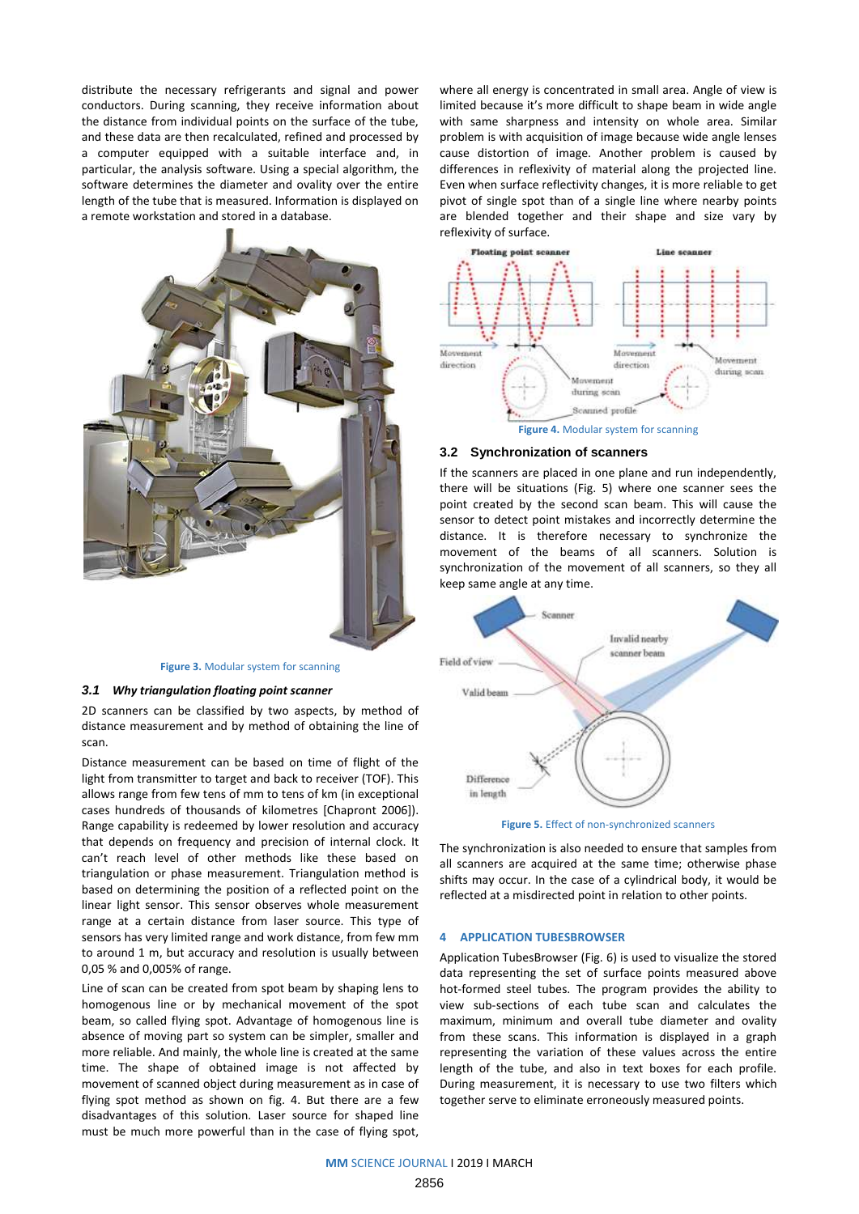distribute the necessary refrigerants and signal and power conductors. During scanning, they receive information about the distance from individual points on the surface of the tube, and these data are then recalculated, refined and processed by a computer equipped with a suitable interface and, in particular, the analysis software. Using a special algorithm, the software determines the diameter and ovality over the entire length of the tube that is measured. Information is displayed on a remote workstation and stored in a database.



#### **Figure 3.** Modular system for scanning

#### *3.1 Why triangulation floating point scanner*

2D scanners can be classified by two aspects, by method of distance measurement and by method of obtaining the line of scan.

Distance measurement can be based on time of flight of the light from transmitter to target and back to receiver (TOF). This allows range from few tens of mm to tens of km (in exceptional cases hundreds of thousands of kilometres [Chapront 2006]). Range capability is redeemed by lower resolution and accuracy that depends on frequency and precision of internal clock. It can't reach level of other methods like these based on triangulation or phase measurement. Triangulation method is based on determining the position of a reflected point on the linear light sensor. This sensor observes whole measurement range at a certain distance from laser source. This type of sensors has very limited range and work distance, from few mm to around 1 m, but accuracy and resolution is usually between 0,05 % and 0,005% of range.

Line of scan can be created from spot beam by shaping lens to homogenous line or by mechanical movement of the spot beam, so called flying spot. Advantage of homogenous line is absence of moving part so system can be simpler, smaller and more reliable. And mainly, the whole line is created at the same time. The shape of obtained image is not affected by movement of scanned object during measurement as in case of flying spot method as shown on fig. 4. But there are a few disadvantages of this solution. Laser source for shaped line must be much more powerful than in the case of flying spot,

where all energy is concentrated in small area. Angle of view is limited because it's more difficult to shape beam in wide angle with same sharpness and intensity on whole area. Similar problem is with acquisition of image because wide angle lenses cause distortion of image. Another problem is caused by differences in reflexivity of material along the projected line. Even when surface reflectivity changes, it is more reliable to get pivot of single spot than of a single line where nearby points are blended together and their shape and size vary by reflexivity of surface.



#### **3.2 Synchronization of scanners**

If the scanners are placed in one plane and run independently, there will be situations (Fig. 5) where one scanner sees the point created by the second scan beam. This will cause the sensor to detect point mistakes and incorrectly determine the distance. It is therefore necessary to synchronize the movement of the beams of all scanners. Solution is synchronization of the movement of all scanners, so they all keep same angle at any time.



**Figure 5.** Effect of non-synchronized scanners

The synchronization is also needed to ensure that samples from all scanners are acquired at the same time; otherwise phase shifts may occur. In the case of a cylindrical body, it would be reflected at a misdirected point in relation to other points.

#### **4 APPLICATION TUBESBROWSER**

Application TubesBrowser (Fig. 6) is used to visualize the stored data representing the set of surface points measured above hot-formed steel tubes. The program provides the ability to view sub-sections of each tube scan and calculates the maximum, minimum and overall tube diameter and ovality from these scans. This information is displayed in a graph representing the variation of these values across the entire length of the tube, and also in text boxes for each profile. During measurement, it is necessary to use two filters which together serve to eliminate erroneously measured points.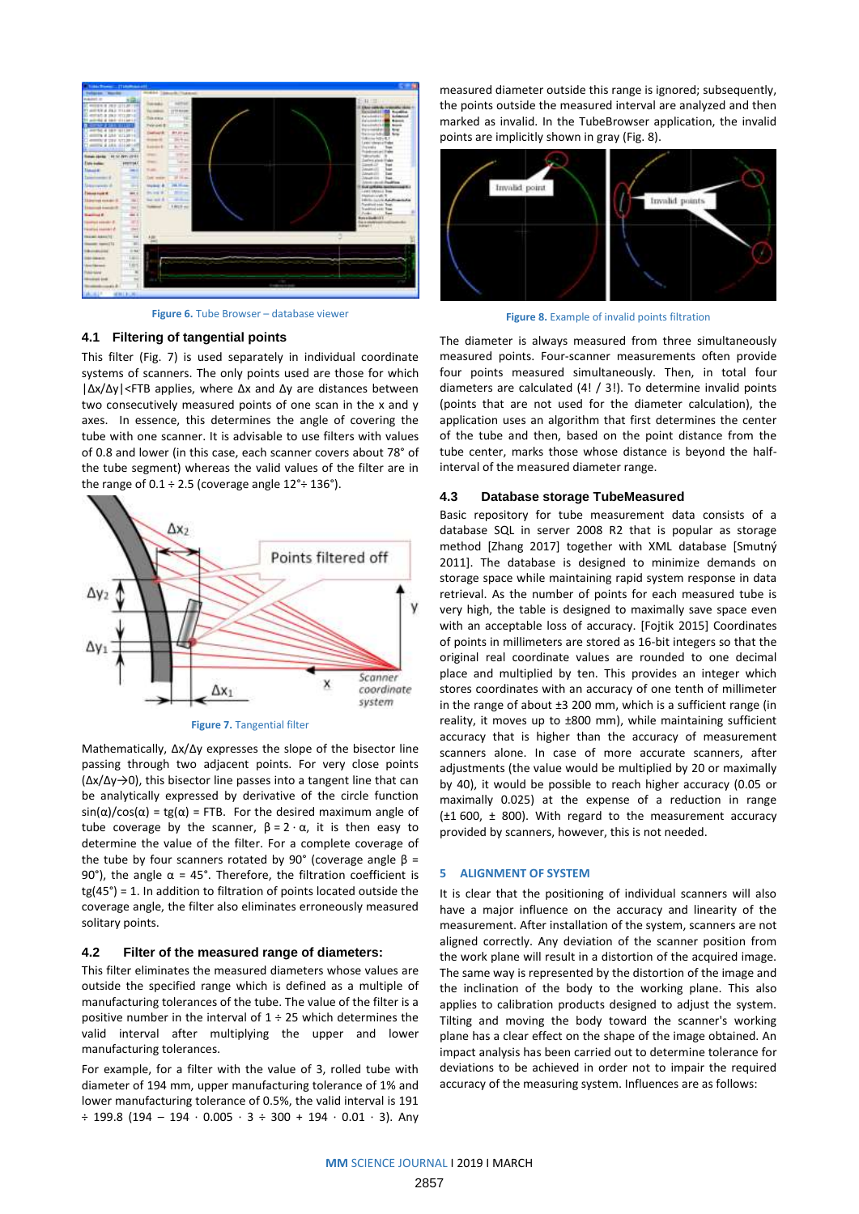

**Figure 6.** Tube Browser – database viewer

## **4.1 Filtering of tangential points**

This filter (Fig. 7) is used separately in individual coordinate systems of scanners. The only points used are those for which |Δx/Δy|<FTB applies, where Δx and Δy are distances between two consecutively measured points of one scan in the x and y axes. In essence, this determines the angle of covering the tube with one scanner. It is advisable to use filters with values of 0.8 and lower (in this case, each scanner covers about 78° of the tube segment) whereas the valid values of the filter are in the range of  $0.1 \div 2.5$  (coverage angle  $12^\circ \div 136^\circ$ ).



**Figure 7.** Tangential filter

Mathematically, Δx/Δy expresses the slope of the bisector line passing through two adjacent points. For very close points (Δx/Δy→0), this bisector line passes into a tangent line that can be analytically expressed by derivative of the circle function sin( $α$ )/cos( $α$ ) = tg( $α$ ) = FTB. For the desired maximum angle of tube coverage by the scanner,  $β = 2 · α$ , it is then easy to determine the value of the filter. For a complete coverage of the tube by four scanners rotated by 90° (coverage angle  $β =$ 90°), the angle  $\alpha$  = 45°. Therefore, the filtration coefficient is tg(45°) = 1. In addition to filtration of points located outside the coverage angle, the filter also eliminates erroneously measured solitary points.

# **4.2 Filter of the measured range of diameters:**

This filter eliminates the measured diameters whose values are outside the specified range which is defined as a multiple of manufacturing tolerances of the tube. The value of the filter is a positive number in the interval of  $1 \div 25$  which determines the valid interval after multiplying the upper and lower manufacturing tolerances.

For example, for a filter with the value of 3, rolled tube with diameter of 194 mm, upper manufacturing tolerance of 1% and lower manufacturing tolerance of 0.5%, the valid interval is 191 ÷ 199.8 (194 – 194 · 0.005 · 3 ÷ 300 + 194 · 0.01 · 3). Any

measured diameter outside this range is ignored; subsequently, the points outside the measured interval are analyzed and then marked as invalid. In the TubeBrowser application, the invalid points are implicitly shown in gray (Fig. 8).



**Figure 8.** Example of invalid points filtration

The diameter is always measured from three simultaneously measured points. Four-scanner measurements often provide four points measured simultaneously. Then, in total four diameters are calculated (4! / 3!). To determine invalid points (points that are not used for the diameter calculation), the application uses an algorithm that first determines the center of the tube and then, based on the point distance from the tube center, marks those whose distance is beyond the halfinterval of the measured diameter range.

#### **4.3 Database storage TubeMeasured**

Basic repository for tube measurement data consists of a database SQL in server 2008 R2 that is popular as storage method [Zhang 2017] together with XML database [Smutný 2011]. The database is designed to minimize demands on storage space while maintaining rapid system response in data retrieval. As the number of points for each measured tube is very high, the table is designed to maximally save space even with an acceptable loss of accuracy. [Fojtik 2015] Coordinates of points in millimeters are stored as 16-bit integers so that the original real coordinate values are rounded to one decimal place and multiplied by ten. This provides an integer which stores coordinates with an accuracy of one tenth of millimeter in the range of about ±3 200 mm, which is a sufficient range (in reality, it moves up to ±800 mm), while maintaining sufficient accuracy that is higher than the accuracy of measurement scanners alone. In case of more accurate scanners, after adjustments (the value would be multiplied by 20 or maximally by 40), it would be possible to reach higher accuracy (0.05 or maximally 0.025) at the expense of a reduction in range (±1 600, ± 800). With regard to the measurement accuracy provided by scanners, however, this is not needed.

#### **5 ALIGNMENT OF SYSTEM**

It is clear that the positioning of individual scanners will also have a major influence on the accuracy and linearity of the measurement. After installation of the system, scanners are not aligned correctly. Any deviation of the scanner position from the work plane will result in a distortion of the acquired image. The same way is represented by the distortion of the image and the inclination of the body to the working plane. This also applies to calibration products designed to adjust the system. Tilting and moving the body toward the scanner's working plane has a clear effect on the shape of the image obtained. An impact analysis has been carried out to determine tolerance for deviations to be achieved in order not to impair the required accuracy of the measuring system. Influences are as follows: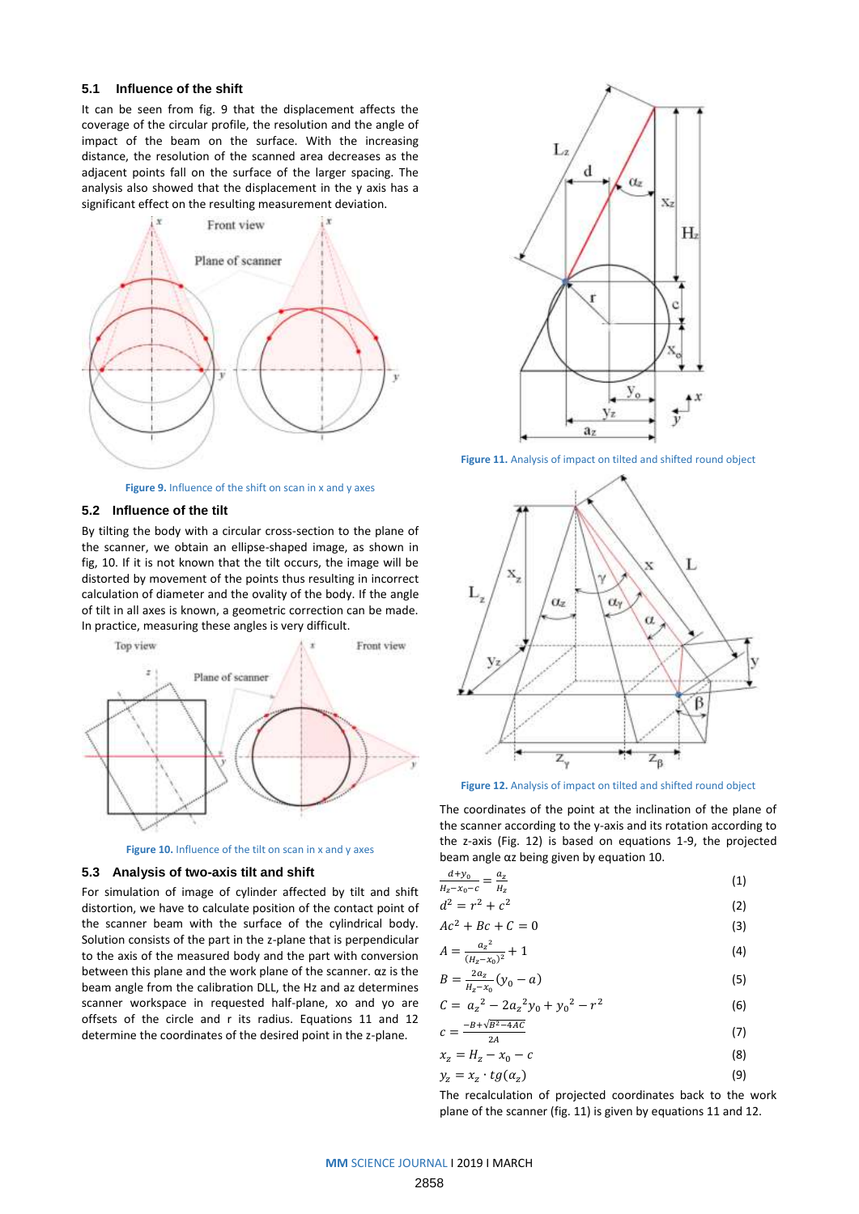# **5.1 Influence of the shift**

It can be seen from fig. 9 that the displacement affects the coverage of the circular profile, the resolution and the angle of impact of the beam on the surface. With the increasing distance, the resolution of the scanned area decreases as the adjacent points fall on the surface of the larger spacing. The analysis also showed that the displacement in the y axis has a significant effect on the resulting measurement deviation.



**Figure 9.** Influence of the shift on scan in x and y axes

## **5.2 Influence of the tilt**

By tilting the body with a circular cross-section to the plane of the scanner, we obtain an ellipse-shaped image, as shown in fig, 10. If it is not known that the tilt occurs, the image will be distorted by movement of the points thus resulting in incorrect calculation of diameter and the ovality of the body. If the angle of tilt in all axes is known, a geometric correction can be made. In practice, measuring these angles is very difficult.



**Figure 10.** Influence of the tilt on scan in x and y axes

#### **5.3 Analysis of two-axis tilt and shift**

For simulation of image of cylinder affected by tilt and shift distortion, we have to calculate position of the contact point of the scanner beam with the surface of the cylindrical body. Solution consists of the part in the z-plane that is perpendicular to the axis of the measured body and the part with conversion between this plane and the work plane of the scanner. αz is the beam angle from the calibration DLL, the Hz and az determines scanner workspace in requested half-plane, xo and yo are offsets of the circle and r its radius. Equations 11 and 12 determine the coordinates of the desired point in the z-plane.



**Figure 11.** Analysis of impact on tilted and shifted round object



**Figure 12.** Analysis of impact on tilted and shifted round object

The coordinates of the point at the inclination of the plane of the scanner according to the y-axis and its rotation according to the z-axis (Fig. 12) is based on equations 1-9, the projected beam angle αz being given by equation 10.

| $\frac{d+y_0}{dx} = \frac{a_z}{x}$ | (1) |
|------------------------------------|-----|
| $H_z - x_0 - c$ $H_z$              |     |
| $d^2 = r^2 + c^2$                  | (2) |

$$
Ac^2 + Bc + C = 0 \tag{3}
$$

$$
A = \frac{a_z^2}{(H_z - x_0)^2} + 1\tag{4}
$$

$$
B = \frac{2a_z}{H_z - x_0}(y_0 - a)
$$
 (5)

$$
C = a_z^2 - 2a_z^2y_0 + y_0^2 - r^2
$$
 (6)

$$
c = \frac{-B + \sqrt{B^2 - 4AC}}{2A} \tag{7}
$$

$$
x_z = H_z - x_0 - c \tag{8}
$$

$$
y_z = x_z \cdot tg(\alpha_z) \tag{9}
$$

The recalculation of projected coordinates back to the work plane of the scanner (fig. 11) is given by equations 11 and 12.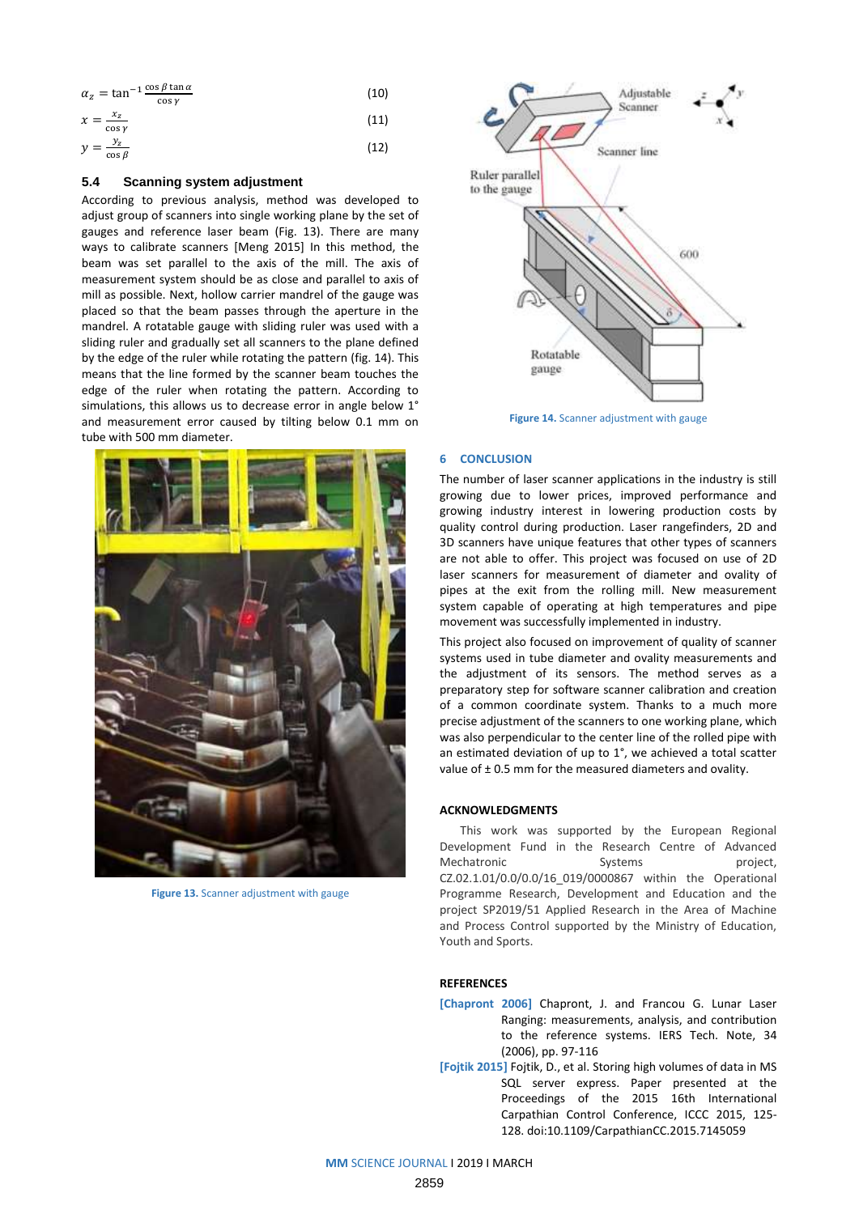| $\alpha_z = \tan^{-1} \frac{\cos \beta \tan \alpha}{\sigma}$<br>$\cos y$ | (10) |
|--------------------------------------------------------------------------|------|
| $x=\frac{x_z}{x}$<br>$\cos y$                                            | (11) |
| $y = \frac{y_z}{\cos \beta}$                                             | (12) |

# **5.4 Scanning system adjustment**

According to previous analysis, method was developed to adjust group of scanners into single working plane by the set of gauges and reference laser beam (Fig. 13). There are many ways to calibrate scanners [Meng 2015] In this method, the beam was set parallel to the axis of the mill. The axis of measurement system should be as close and parallel to axis of mill as possible. Next, hollow carrier mandrel of the gauge was placed so that the beam passes through the aperture in the mandrel. A rotatable gauge with sliding ruler was used with a sliding ruler and gradually set all scanners to the plane defined by the edge of the ruler while rotating the pattern (fig. 14). This means that the line formed by the scanner beam touches the edge of the ruler when rotating the pattern. According to simulations, this allows us to decrease error in angle below 1° and measurement error caused by tilting below 0.1 mm on tube with 500 mm diameter.



**Figure 13.** Scanner adjustment with gauge



**Figure 14.** Scanner adjustment with gauge

#### **6 CONCLUSION**

The number of laser scanner applications in the industry is still growing due to lower prices, improved performance and growing industry interest in lowering production costs by quality control during production. Laser rangefinders, 2D and 3D scanners have unique features that other types of scanners are not able to offer. This project was focused on use of 2D laser scanners for measurement of diameter and ovality of pipes at the exit from the rolling mill. New measurement system capable of operating at high temperatures and pipe movement was successfully implemented in industry.

This project also focused on improvement of quality of scanner systems used in tube diameter and ovality measurements and the adjustment of its sensors. The method serves as a preparatory step for software scanner calibration and creation of a common coordinate system. Thanks to a much more precise adjustment of the scanners to one working plane, which was also perpendicular to the center line of the rolled pipe with an estimated deviation of up to 1°, we achieved a total scatter value of ± 0.5 mm for the measured diameters and ovality.

# **ACKNOWLEDGMENTS**

This work was supported by the European Regional Development Fund in the Research Centre of Advanced Mechatronic Systems Systems project. CZ.02.1.01/0.0/0.0/16\_019/0000867 within the Operational Programme Research, Development and Education and the project SP2019/51 Applied Research in the Area of Machine and Process Control supported by the Ministry of Education, Youth and Sports.

## **REFERENCES**

- **[Chapront 2006]** Chapront, J. and Francou G. Lunar Laser Ranging: measurements, analysis, and contribution to the reference systems. IERS Tech. Note, 34 (2006), pp. 97-116
- **[Fojtik 2015]** Fojtik, D., et al. Storing high volumes of data in MS SQL server express. Paper presented at the Proceedings of the 2015 16th International Carpathian Control Conference, ICCC 2015, 125- 128. doi:10.1109/CarpathianCC.2015.7145059